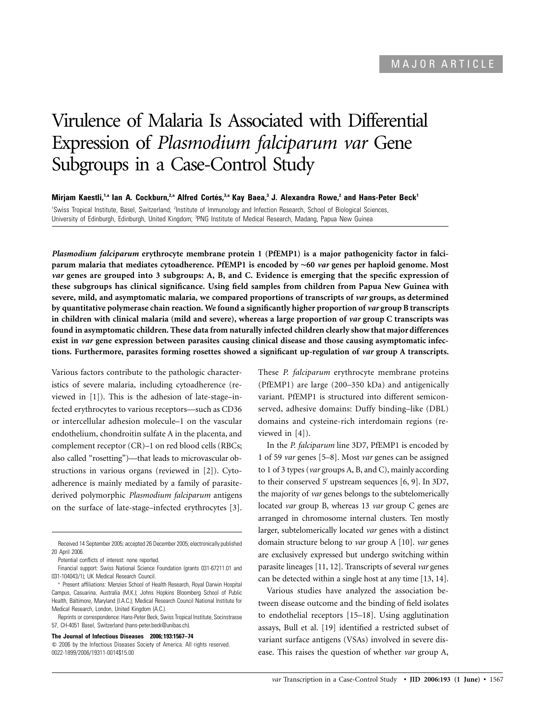# Virulence of Malaria Is Associated with Differential Expression of *Plasmodium falciparum var* Gene Subgroups in a Case-Control Study

 $M$ irjam Kaestli,<sup>1,a</sup> Ian A. Cockburn,<sup>2,a</sup> Alfred Cortés,<sup>3,a</sup> Kay Baea,<sup>3</sup> J. Alexandra Rowe,<sup>2</sup> and Hans-Peter Beck<sup>1</sup> <sup>1</sup>Swiss Tropical Institute, Basel, Switzerland; <sup>2</sup>Institute of Immunology and Infection Research, School of Biological Sciences, University of Edinburgh, Edinburgh, United Kingdom; <sup>3</sup>PNG Institute of Medical Research, Madang, Papua New Guinea

*Plasmodium falciparum* **erythrocyte membrane protein 1 (PfEMP1) is a major pathogenicity factor in falciparum malaria that mediates cytoadherence. PfEMP1 is encoded by** ∼**60** *var* **genes per haploid genome. Most** *var* **genes are grouped into 3 subgroups: A, B, and C. Evidence is emerging that the specific expression of these subgroups has clinical significance. Using field samples from children from Papua New Guinea with severe, mild, and asymptomatic malaria, we compared proportions of transcripts of** *var* **groups, as determined by quantitative polymerase chain reaction. We found a significantly higher proportion of** *var* **group B transcripts in children with clinical malaria (mild and severe), whereas a large proportion of** *var* **group C transcripts was found in asymptomatic children. These data from naturally infected children clearly show that major differences exist in** *var* **gene expression between parasites causing clinical disease and those causing asymptomatic infections. Furthermore, parasites forming rosettes showed a significant up-regulation of** *var* **group A transcripts.**

Various factors contribute to the pathologic characteristics of severe malaria, including cytoadherence (reviewed in [1]). This is the adhesion of late-stage–infected erythrocytes to various receptors—such as CD36 or intercellular adhesion molecule–1 on the vascular endothelium, chondroitin sulfate A in the placenta, and complement receptor (CR)–1 on red blood cells (RBCs; also called "rosetting")—that leads to microvascular obstructions in various organs (reviewed in [2]). Cytoadherence is mainly mediated by a family of parasitederived polymorphic *Plasmodium falciparum* antigens on the surface of late-stage–infected erythrocytes [3].

Reprints or correspondence: Hans-Peter Beck, Swiss Tropical Institute, Socinstrasse 57, CH-4051 Basel, Switzerland (hans-peter.beck@unibas.ch).

**The Journal of Infectious Diseases 2006; 193:1567–74**

These *P. falciparum* erythrocyte membrane proteins (PfEMP1) are large (200–350 kDa) and antigenically variant. PfEMP1 is structured into different semiconserved, adhesive domains: Duffy binding–like (DBL) domains and cysteine-rich interdomain regions (reviewed in [4]).

In the *P. falciparum* line 3D7, PfEMP1 is encoded by 1 of 59 *var* genes [5–8]. Most *var* genes can be assigned to 1 of 3 types (*var* groups A, B, and C), mainly according to their conserved 5' upstream sequences [6, 9]. In 3D7, the majority of *var* genes belongs to the subtelomerically located *var* group B, whereas 13 *var* group C genes are arranged in chromosome internal clusters. Ten mostly larger, subtelomerically located *var* genes with a distinct domain structure belong to *var* group A [10]. *var* genes are exclusively expressed but undergo switching within parasite lineages [11, 12]. Transcripts of several *var* genes can be detected within a single host at any time [13, 14].

Various studies have analyzed the association between disease outcome and the binding of field isolates to endothelial receptors [15–18]. Using agglutination assays, Bull et al. [19] identified a restricted subset of variant surface antigens (VSAs) involved in severe disease. This raises the question of whether *var* group A,

Received 14 September 2005; accepted 26 December 2005; electronically published 20 April 2006.

Potential conflicts of interest: none reported.

Financial support: Swiss National Science Foundation (grants 031-67211.01 and 031-104043/1); UK Medical Research Council.

<sup>a</sup> Present affiliations: Menzies School of Health Research, Royal Darwin Hospital Campus, Casuarina, Australia (M.K.); Johns Hopkins Bloomberg School of Public Health, Baltimore, Maryland (I.A.C.); Medical Research Council National Institute for Medical Research, London, United Kingdom (A.C.).

 $\degree$  2006 by the Infectious Diseases Society of America. All rights reserved. 0022-1899/2006/19311-0014\$15.00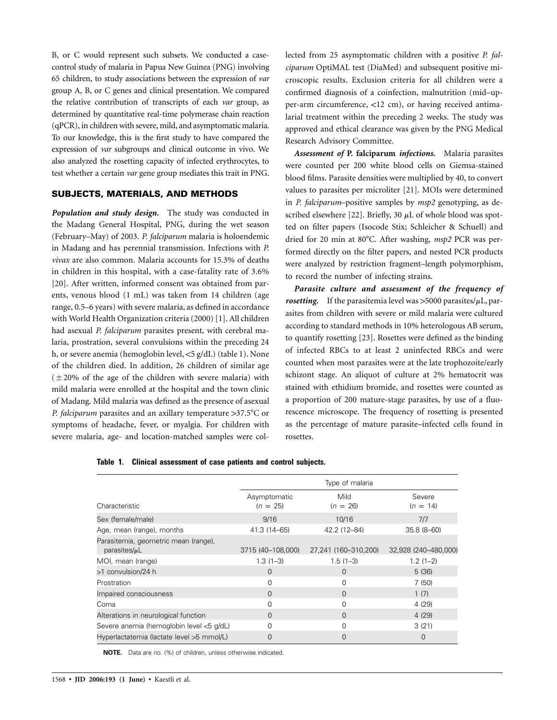B, or C would represent such subsets. We conducted a casecontrol study of malaria in Papua New Guinea (PNG) involving 65 children, to study associations between the expression of *var* group A, B, or C genes and clinical presentation. We compared the relative contribution of transcripts of each *var* group, as determined by quantitative real-time polymerase chain reaction (qPCR), in children with severe, mild, and asymptomatic malaria. To our knowledge, this is the first study to have compared the expression of *var* subgroups and clinical outcome in vivo. We also analyzed the rosetting capacity of infected erythrocytes, to test whether a certain *var* gene group mediates this trait in PNG.

## **SUBJECTS, MATERIALS, AND METHODS**

*Population and study design.* The study was conducted in the Madang General Hospital, PNG, during the wet season (February–May) of 2003. *P. falciparum* malaria is holoendemic in Madang and has perennial transmission. Infections with *P. vivax* are also common. Malaria accounts for 15.3% of deaths in children in this hospital, with a case-fatality rate of 3.6% [20]. After written, informed consent was obtained from parents, venous blood (1 mL) was taken from 14 children (age range, 0.5–6 years) with severe malaria, as defined in accordance with World Health Organization criteria (2000) [1]. All children had asexual *P. falciparum* parasites present, with cerebral malaria, prostration, several convulsions within the preceding 24 h, or severe anemia (hemoglobin level, <5 g/dL) (table 1). None of the children died. In addition, 26 children of similar age  $(±20%$  of the age of the children with severe malaria) with mild malaria were enrolled at the hospital and the town clinic of Madang. Mild malaria was defined as the presence of asexual *P. falciparum* parasites and an axillary temperature >37.5°C or symptoms of headache, fever, or myalgia. For children with severe malaria, age- and location-matched samples were collected from 25 asymptomatic children with a positive *P. falciparum* OptiMAL test (DiaMed) and subsequent positive microscopic results. Exclusion criteria for all children were a confirmed diagnosis of a coinfection, malnutrition (mid–upper-arm circumference,  $<$ 12 cm), or having received antimalarial treatment within the preceding 2 weeks. The study was approved and ethical clearance was given by the PNG Medical Research Advisory Committee.

*Assessment of* **P. falciparum** *infections.* Malaria parasites were counted per 200 white blood cells on Giemsa-stained blood films. Parasite densities were multiplied by 40, to convert values to parasites per microliter [21]. MOIs were determined in *P. falciparum*–positive samples by *msp2* genotyping, as described elsewhere [22]. Briefly, 30  $\mu$ L of whole blood was spotted on filter papers (Isocode Stix; Schleicher & Schuell) and dried for 20 min at 80°C. After washing,  $msp2$  PCR was performed directly on the filter papers, and nested PCR products were analyzed by restriction fragment–length polymorphism, to record the number of infecting strains.

*Parasite culture and assessment of the frequency of rosetting.* If the parasitemia level was  $>5000$  parasites/ $\mu$ L, parasites from children with severe or mild malaria were cultured according to standard methods in 10% heterologous AB serum, to quantify rosetting [23]. Rosettes were defined as the binding of infected RBCs to at least 2 uninfected RBCs and were counted when most parasites were at the late trophozoite/early schizont stage. An aliquot of culture at 2% hematocrit was stained with ethidium bromide, and rosettes were counted as a proportion of 200 mature-stage parasites, by use of a fluorescence microscope. The frequency of rosetting is presented as the percentage of mature parasite–infected cells found in rosettes.

|                                                            | Type of malaria            |                      |                      |  |  |
|------------------------------------------------------------|----------------------------|----------------------|----------------------|--|--|
| Characteristic                                             | Asymptomatic<br>$(n = 25)$ | Mild<br>$(n = 26)$   | Severe<br>$(n = 14)$ |  |  |
| Sex (female/male)                                          | 9/16                       | 10/16                | 7/7                  |  |  |
| Age, mean (range), months                                  | 41.3 (14-65)               | 42.2 (12-84)         | $35.8(8 - 60)$       |  |  |
| Parasitemia, geometric mean (range),<br>parasites/ $\mu$ L | 3715 (40-108,000)          | 27,241 (160-310,200) | 32,928 (240-480,000) |  |  |
| MOI, mean (range)                                          | $1.3(1-3)$                 | $1.5(1-3)$           | $1.2(1-2)$           |  |  |
| >1 convulsion/24 h                                         | $\Omega$                   | $\Omega$             | 5(36)                |  |  |
| Prostration                                                | 0                          | 0                    | 7(50)                |  |  |
| Impaired consciousness                                     | $\Omega$                   | $\Omega$             | 1(7)                 |  |  |
| Coma                                                       | 0                          | 0                    | 4(29)                |  |  |
| Alterations in neurological function                       | 0                          | $\Omega$             | 4(29)                |  |  |
| Severe anemia (hemoglobin level <5 g/dL)                   | O                          | 0                    | 3(21)                |  |  |
| Hyperlactatemia (lactate level >5 mmol/L)                  | $\Omega$                   | 0                    | $\Omega$             |  |  |

**Table 1. Clinical assessment of case patients and control subjects.**

**NOTE.** Data are no. (%) of children, unless otherwise indicated.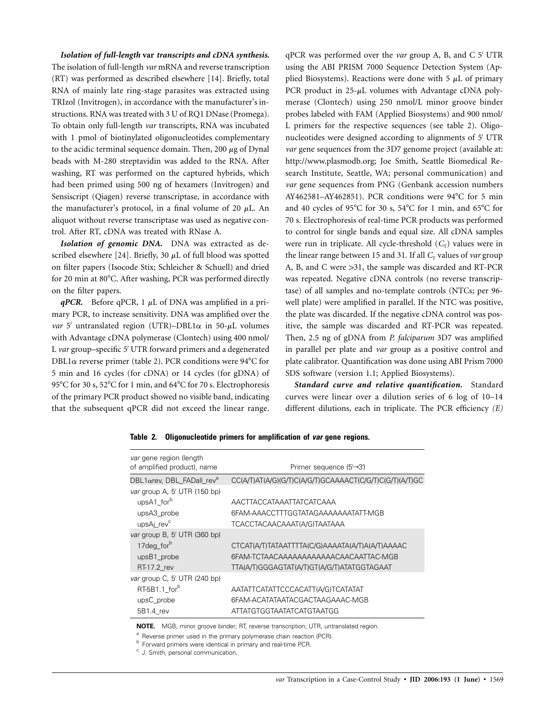# *Isolation of full-length* **var** *transcripts and cDNA synthesis.*

The isolation of full-length *var* mRNA and reverse transcription (RT) was performed as described elsewhere [14]. Briefly, total RNA of mainly late ring-stage parasites was extracted using TRIzol (Invitrogen), in accordance with the manufacturer's instructions. RNA was treated with 3 U of RQ1 DNase (Promega). To obtain only full-length *var* transcripts, RNA was incubated with 1 pmol of biotinylated oligonucleotides complementary to the acidic terminal sequence domain. Then,  $200 \mu$ g of Dynal beads with M-280 streptavidin was added to the RNA. After washing, RT was performed on the captured hybrids, which had been primed using 500 ng of hexamers (Invitrogen) and Sensiscript (Qiagen) reverse transcriptase, in accordance with the manufacturer's protocol, in a final volume of 20  $\mu$ L. An aliquot without reverse transcriptase was used as negative control. After RT, cDNA was treated with RNase A.

*Isolation of genomic DNA.* DNA was extracted as described elsewhere [24]. Briefly, 30  $\mu$ L of full blood was spotted on filter papers (Isocode Stix; Schleicher & Schuell) and dried for 20 min at 80°C. After washing, PCR was performed directly on the filter papers.

 $qPCR$ . Before  $qPCR$ , 1  $\mu$ L of DNA was amplified in a primary PCR, to increase sensitivity. DNA was amplified over the *var* 5' untranslated region (UTR)–DBL1 $\alpha$  in 50- $\mu$ L volumes with Advantage cDNA polymerase (Clontech) using 400 nmol/ L var group–specific 5' UTR forward primers and a degenerated DBL1 $\alpha$  reverse primer (table 2). PCR conditions were 94 $\degree$ C for 5 min and 16 cycles (for cDNA) or 14 cycles (for gDNA) of 95°C for 30 s, 52°C for 1 min, and 64°C for 70 s. Electrophoresis of the primary PCR product showed no visible band, indicating that the subsequent qPCR did not exceed the linear range.

qPCR was performed over the *var* group A, B, and C 5' UTR using the ABI PRISM 7000 Sequence Detection System (Applied Biosystems). Reactions were done with  $5 \mu L$  of primary PCR product in  $25-\mu L$  volumes with Advantage cDNA polymerase (Clontech) using 250 nmol/L minor groove binder probes labeled with FAM (Applied Biosystems) and 900 nmol/ L primers for the respective sequences (see table 2). Oligonucleotides were designed according to alignments of 5' UTR *var* gene sequences from the 3D7 genome project (available at: http://www.plasmodb.org; Joe Smith, Seattle Biomedical Research Institute, Seattle, WA; personal communication) and *var* gene sequences from PNG (Genbank accession numbers AY462581–AY462851). PCR conditions were  $94^{\circ}$ C for 5 min and 40 cycles of 95°C for 30 s, 54°C for 1 min, and 65°C for 70 s. Electrophoresis of real-time PCR products was performed to control for single bands and equal size. All cDNA samples were run in triplicate. All cycle-threshold  $(C_T)$  values were in the linear range between 15 and 31. If all  $C_T$  values of *var* group A, B, and C were > 31, the sample was discarded and RT-PCR was repeated. Negative cDNA controls (no reverse transcriptase) of all samples and no-template controls (NTCs; per 96 well plate) were amplified in parallel. If the NTC was positive, the plate was discarded. If the negative cDNA control was positive, the sample was discarded and RT-PCR was repeated. Then, 2.5 ng of gDNA from *P. falciparum* 3D7 was amplified in parallel per plate and *var* group as a positive control and plate calibrator. Quantification was done using ABI Prism 7000 SDS software (version 1.1; Applied Biosystems).

*Standard curve and relative quantification.* Standard curves were linear over a dilution series of 6 log of 10–14 different dilutions, each in triplicate. The PCR efficiency *(E)*

| Primer sequence (5′→3′)                                 |
|---------------------------------------------------------|
| CC(A/T)AT(A/G)(G/T)C(A/G/T)GCAAAACT(C/G/T)C(G/T)(A/T)GC |
|                                                         |
| AACTTACCATAAATTATCATCAAA                                |
| 6FAM-AAACCTTTGGTATAGAAAAAAATATT-MGB                     |
| TCACCTACAACAAAT(A/G)TAATAAA                             |
|                                                         |
| CTCAT(A/T)TATAATTTTA(C/G)AAAATA(A/T)A(A/T)AAAAC         |
| 6FAM-TCTAACAAAAAAAAAAAACAACAATTAC-MGB                   |
| TTA(A/T)GGGAGTAT(A/T)GT(A/G/T)ATATGGTAGAAT              |
|                                                         |
| AATATTCATATTCCCACATT(A/G)TCATATAT                       |
| 6FAM-ACATATAATACGACTAAGAAAC-MGB                         |
| ATTATGTGGTAATATCATGTAATGG                               |
|                                                         |

**Table 2. Oligonucleotide primers for amplification of** *var* **gene regions.**

**NOTE.** MGB, minor groove binder; RT, reverse transcription; UTR, untranslated region.

<sup>&</sup>lt;sup>a</sup> Reverse primer used in the primary polymerase chain reaction (PCR).<br>
<sup>b</sup> Forward primers were identical in primary and real-time PCR. c J. Smith, personal communication.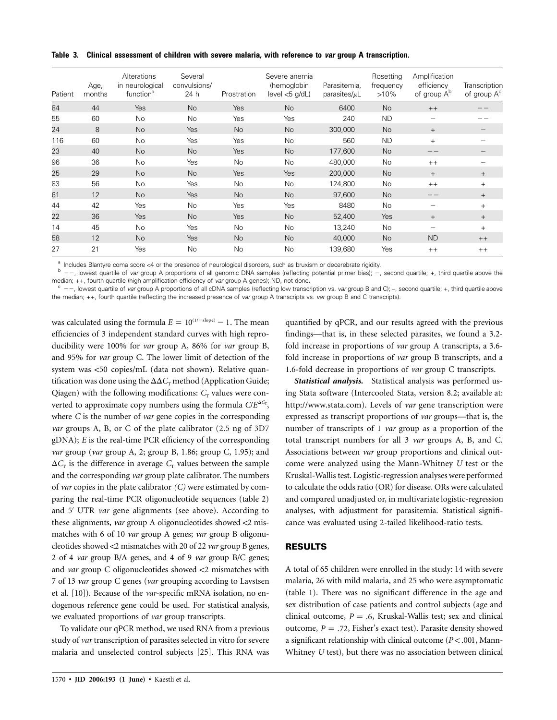**Table 3. Clinical assessment of children with severe malaria, with reference to** *var* **group A transcription.**

| Patient | Age,<br>months | Alterations<br>in neurological<br>function <sup>a</sup> | Several<br>convulsions/<br>24 h | Prostration    | Severe anemia<br>(hemoglobin<br>level < 5 q/dL | Parasitemia,<br>parasites/ $\mu$ L | Rosetting<br>frequency<br>$>10\%$ | Amplification<br>efficiency<br>of group A <sup>b</sup> | Transcription<br>of group $A^c$ |
|---------|----------------|---------------------------------------------------------|---------------------------------|----------------|------------------------------------------------|------------------------------------|-----------------------------------|--------------------------------------------------------|---------------------------------|
| 84      | 44             | Yes                                                     | <b>No</b>                       | Yes            | <b>No</b>                                      | 6400                               | <b>No</b>                         | $++$                                                   |                                 |
| 55      | 60             | <b>No</b>                                               | No.                             | Yes            | Yes                                            | 240                                | <b>ND</b>                         |                                                        |                                 |
| 24      | 8              | <b>No</b>                                               | <b>Yes</b>                      | <b>No</b>      | <b>No</b>                                      | 300,000                            | <b>No</b>                         | $+$                                                    |                                 |
| 116     | 60             | <b>No</b>                                               | Yes                             | Yes            | <b>No</b>                                      | 560                                | <b>ND</b>                         | $+$                                                    |                                 |
| 23      | 40             | <b>No</b>                                               | <b>No</b>                       | Yes            | <b>No</b>                                      | 177,600                            | <b>No</b>                         |                                                        |                                 |
| 96      | 36             | No                                                      | Yes                             | No             | No                                             | 480,000                            | No                                | $++$                                                   |                                 |
| 25      | 29             | <b>No</b>                                               | <b>No</b>                       | <b>Yes</b>     | Yes                                            | 200,000                            | <b>No</b>                         | $+$                                                    | $+$                             |
| 83      | 56             | <b>No</b>                                               | Yes                             | No.            | <b>No</b>                                      | 124,800                            | <b>No</b>                         | $++$                                                   | $^{+}$                          |
| 61      | 12             | <b>No</b>                                               | <b>Yes</b>                      | <b>No</b>      | <b>No</b>                                      | 97.600                             | <b>No</b>                         |                                                        | $^{+}$                          |
| 44      | 42             | Yes                                                     | No.                             | Yes            | Yes                                            | 8480                               | <b>No</b>                         |                                                        | $^{+}$                          |
| 22      | 36             | Yes                                                     | No.                             | Yes            | <b>No</b>                                      | 52,400                             | Yes                               | $+$                                                    | $^{+}$                          |
| 14      | 45             | <b>No</b>                                               | Yes                             | No.            | <b>No</b>                                      | 13,240                             | No                                |                                                        | $+$                             |
| 58      | 12             | <b>No</b>                                               | <b>Yes</b>                      | N <sub>o</sub> | <b>No</b>                                      | 40,000                             | <b>No</b>                         | ND                                                     | $++$                            |
| 27      | 21             | Yes                                                     | <b>No</b>                       | <b>No</b>      | <b>No</b>                                      | 139.680                            | Yes                               | $++$                                                   | $++$                            |

<sup>a</sup> Includes Blantyre coma score <4 or the presence of neurological disorders, such as bruxism or decerebrate rigidity.<br>  $\frac{b}{c}$  ––, lowest quartile of var group A proportions of all genomic DNA samples (reflecting pote median; ++, fourth quartile (high amplification efficiency of var group A genes); ND, not done.<br><sup>c</sup> --, lowest quartile of var group A proportions of all cDNA samples (reflecting low transcription vs. var group B and C); -

the median; ++, fourth quartile (reflecting the increased presence of *var* group A transcripts vs. *var* group B and C transcripts).

was calculated using the formula  $E = 10^{(1/\text{-slope})} - 1$ . The mean efficiencies of 3 independent standard curves with high reproducibility were 100% for *var* group A, 86% for *var* group B, and 95% for *var* group C. The lower limit of detection of the system was <50 copies/mL (data not shown). Relative quantification was done using the  $\Delta\Delta C_{\rm r}$  method (Application Guide; Qiagen) with the following modifications:  $C<sub>r</sub>$  values were converted to approximate copy numbers using the formula  $C/E^{\Delta C_r}$ , where *C* is the number of *var* gene copies in the corresponding *var* groups A, B, or C of the plate calibrator (2.5 ng of 3D7 gDNA); *E* is the real-time PCR efficiency of the corresponding *var* group (*var* group A, 2; group B, 1.86; group C, 1.95); and  $\Delta C_{\text{T}}$  is the difference in average  $C_{\text{T}}$  values between the sample and the corresponding *var* group plate calibrator. The numbers of *var* copies in the plate calibrator *(C)* were estimated by comparing the real-time PCR oligonucleotide sequences (table 2) and 5' UTR *var* gene alignments (see above). According to these alignments, *var* group A oligonucleotides showed <2 mismatches with 6 of 10 *var* group A genes; *var* group B oligonucleotides showed !2 mismatches with 20 of 22 *var* group B genes, 2 of 4 *var* group B/A genes, and 4 of 9 *var* group B/C genes; and *var* group C oligonucleotides showed <2 mismatches with 7 of 13 *var* group C genes (*var* grouping according to Lavstsen et al. [10]). Because of the *var*-specific mRNA isolation, no endogenous reference gene could be used. For statistical analysis, we evaluated proportions of *var* group transcripts.

To validate our qPCR method, we used RNA from a previous study of *var* transcription of parasites selected in vitro for severe malaria and unselected control subjects [25]. This RNA was

quantified by qPCR, and our results agreed with the previous findings—that is, in these selected parasites, we found a 3.2 fold increase in proportions of *var* group A transcripts, a 3.6 fold increase in proportions of *var* group B transcripts, and a 1.6-fold decrease in proportions of *var* group C transcripts.

*Statistical analysis.* Statistical analysis was performed using Stata software (Intercooled Stata, version 8.2; available at: http://www.stata.com). Levels of *var* gene transcription were expressed as transcript proportions of *var* groups—that is, the number of transcripts of 1 *var* group as a proportion of the total transcript numbers for all 3 *var* groups A, B, and C. Associations between *var* group proportions and clinical outcome were analyzed using the Mann-Whitney *U* test or the Kruskal-Wallis test. Logistic-regression analyses were performed to calculate the odds ratio (OR) for disease. ORs were calculated and compared unadjusted or, in multivariate logistic-regression analyses, with adjustment for parasitemia. Statistical significance was evaluated using 2-tailed likelihood-ratio tests.

#### **RESULTS**

A total of 65 children were enrolled in the study: 14 with severe malaria, 26 with mild malaria, and 25 who were asymptomatic (table 1). There was no significant difference in the age and sex distribution of case patients and control subjects (age and clinical outcome,  $P = .6$ , Kruskal-Wallis test; sex and clinical outcome,  $P = .72$ , Fisher's exact test). Parasite density showed a significant relationship with clinical outcome (P<.001, Mann-Whitney *U* test), but there was no association between clinical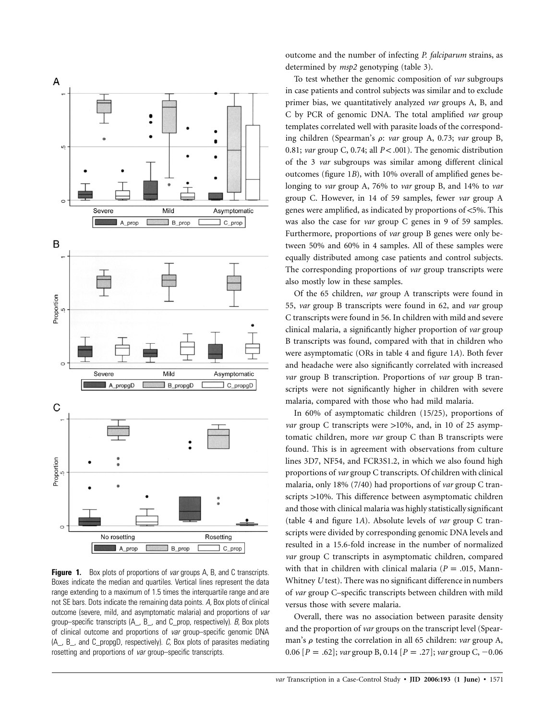

**Figure 1.** Box plots of proportions of *var* groups A, B, and C transcripts. Boxes indicate the median and quartiles. Vertical lines represent the data range extending to a maximum of 1.5 times the interquartile range and are not SE bars. Dots indicate the remaining data points. *A,* Box plots of clinical outcome (severe, mild, and asymptomatic malaria) and proportions of *var* group–specific transcripts (A\_, B\_, and C\_prop, respectively). *B,* Box plots of clinical outcome and proportions of *var* group–specific genomic DNA (A\_, B\_, and C\_propgD, respectively). *C,* Box plots of parasites mediating rosetting and proportions of *var* group–specific transcripts.

outcome and the number of infecting *P. falciparum* strains, as determined by *msp2* genotyping (table 3).

To test whether the genomic composition of *var* subgroups in case patients and control subjects was similar and to exclude primer bias, we quantitatively analyzed *var* groups A, B, and C by PCR of genomic DNA. The total amplified *var* group templates correlated well with parasite loads of the corresponding children (Spearman's  $\rho$ : *var* group A, 0.73; *var* group B, 0.81; *var* group C, 0.74; all  $P < .001$ ). The genomic distribution of the 3 *var* subgroups was similar among different clinical outcomes (figure 1*B*), with 10% overall of amplified genes belonging to *var* group A, 76% to *var* group B, and 14% to *var* group C. However, in 14 of 59 samples, fewer *var* group A genes were amplified, as indicated by proportions of <5%. This was also the case for *var* group C genes in 9 of 59 samples. Furthermore, proportions of *var* group B genes were only between 50% and 60% in 4 samples. All of these samples were equally distributed among case patients and control subjects. The corresponding proportions of *var* group transcripts were also mostly low in these samples.

Of the 65 children, *var* group A transcripts were found in 55, *var* group B transcripts were found in 62, and *var* group C transcripts were found in 56. In children with mild and severe clinical malaria, a significantly higher proportion of *var* group B transcripts was found, compared with that in children who were asymptomatic (ORs in table 4 and figure 1*A*). Both fever and headache were also significantly correlated with increased *var* group B transcription. Proportions of *var* group B transcripts were not significantly higher in children with severe malaria, compared with those who had mild malaria.

In 60% of asymptomatic children (15/25), proportions of *var* group C transcripts were >10%, and, in 10 of 25 asymptomatic children, more *var* group C than B transcripts were found. This is in agreement with observations from culture lines 3D7, NF54, and FCR3S1.2, in which we also found high proportions of *var* group C transcripts. Of children with clinical malaria, only 18% (7/40) had proportions of *var* group C transcripts >10%. This difference between asymptomatic children and those with clinical malaria was highly statistically significant (table 4 and figure 1*A*). Absolute levels of *var* group C transcripts were divided by corresponding genomic DNA levels and resulted in a 15.6-fold increase in the number of normalized *var* group C transcripts in asymptomatic children, compared with that in children with clinical malaria ( $P = .015$ , Mann-Whitney *U* test). There was no significant difference in numbers of *var* group C–specific transcripts between children with mild versus those with severe malaria.

Overall, there was no association between parasite density and the proportion of *var* groups on the transcript level (Spearman's  $\rho$  testing the correlation in all 65 children: *var* group A, 0.06  $[P = .62]$ ; *var* group B, 0.14  $[P = .27]$ ; *var* group C, -0.06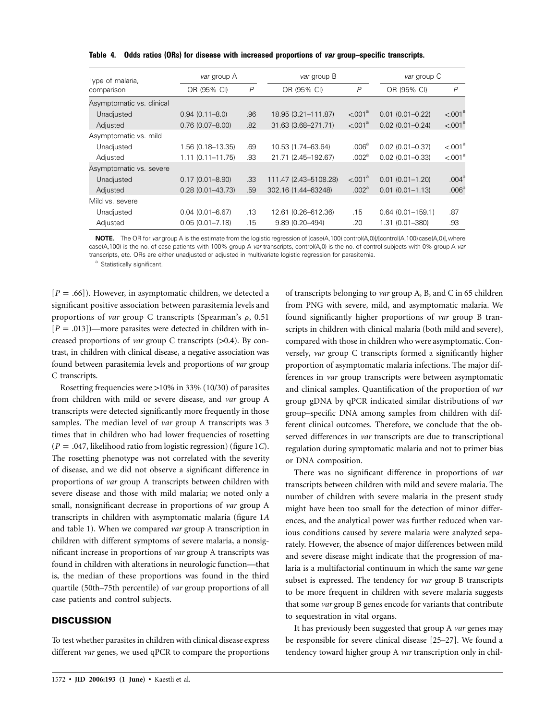| Type of malaria,          | var group A          |                | var group B           |                     | var group C            |                     |
|---------------------------|----------------------|----------------|-----------------------|---------------------|------------------------|---------------------|
| comparison                | OR (95% CI)          | $\overline{P}$ | OR (95% CI)           | $\overline{P}$      | OR (95% CI)            | $\overline{P}$      |
| Asymptomatic vs. clinical |                      |                |                       |                     |                        |                     |
| Unadjusted                | $0.94(0.11 - 8.0)$   | .96            | 18.95 (3.21-111.87)   | < .001 <sup>a</sup> | $0.01(0.01 - 0.22)$    | < 001 <sup>a</sup>  |
| Adjusted                  | $0.76(0.07 - 8.00)$  | .82            | 31.63 (3.68-271.71)   | $< 0.001^a$         | $0.02$ $(0.01 - 0.24)$ | < 001 <sup>a</sup>  |
| Asymptomatic vs. mild     |                      |                |                       |                     |                        |                     |
| Unadjusted                | 1.56 (0.18-13.35)    | .69            | 10.53 (1.74-63.64)    | .006 <sup>a</sup>   | $0.02(0.01 - 0.37)$    | < 0.01 <sup>a</sup> |
| Adjusted                  | $1.11(0.11 - 11.75)$ | .93            | 21.71 (2.45-192.67)   | .002 <sup>a</sup>   | $0.02(0.01 - 0.33)$    | < 001 <sup>a</sup>  |
| Asymptomatic vs. severe   |                      |                |                       |                     |                        |                     |
| Unadjusted                | $0.17(0.01 - 8.90)$  | .33            | 111.47 (2.43-5108.28) | < .001 <sup>a</sup> | $0.01(0.01 - 1.20)$    | .004 <sup>a</sup>   |
| Adjusted                  | $0.28(0.01 - 43.73)$ | .59            | 302.16 (1.44-63248)   | .002 <sup>a</sup>   | $0.01(0.01 - 1.13)$    | .006 <sup>a</sup>   |
| Mild vs. severe           |                      |                |                       |                     |                        |                     |
| Unadjusted                | $0.04(0.01 - 6.67)$  | .13            | 12.61 (0.26-612.36)   | .15                 | $0.64(0.01 - 159.1)$   | .87                 |
| Adjusted                  | $0.05(0.01 - 7.18)$  | .15            | 9.89 (0.20-494)       | .20                 | 1.31 (0.01-380)        | .93                 |

**Table 4. Odds ratios (ORs) for disease with increased proportions of** *var* **group–specific transcripts.**

**NOTE.** The OR for *var* group A is the estimate from the logistic regression of [case(A,100) control(A,0)]/[control(A,100) case(A,0)], where case(A,100) is the no. of case patients with 100% group A *var* transcripts, control(A,0) is the no. of control subjects with 0% group A *var* transcripts, etc. ORs are either unadjusted or adjusted in multivariate logistic regression for parasitemia.

<sup>a</sup> Statistically significant.

 $[P = .66]$ ). However, in asymptomatic children, we detected a significant positive association between parasitemia levels and proportions of *var* group C transcripts (Spearman's  $\rho$ , 0.51  $[P = .013]$  –more parasites were detected in children with increased proportions of *var* group C transcripts (>0.4). By contrast, in children with clinical disease, a negative association was found between parasitemia levels and proportions of *var* group C transcripts.

Rosetting frequencies were  $>10\%$  in 33% (10/30) of parasites from children with mild or severe disease, and *var* group A transcripts were detected significantly more frequently in those samples. The median level of *var* group A transcripts was 3 times that in children who had lower frequencies of rosetting  $(P = .047$ , likelihood ratio from logistic regression) (figure 1*C*). The rosetting phenotype was not correlated with the severity of disease, and we did not observe a significant difference in proportions of *var* group A transcripts between children with severe disease and those with mild malaria; we noted only a small, nonsignificant decrease in proportions of *var* group A transcripts in children with asymptomatic malaria (figure 1*A* and table 1). When we compared *var* group A transcription in children with different symptoms of severe malaria, a nonsignificant increase in proportions of *var* group A transcripts was found in children with alterations in neurologic function—that is, the median of these proportions was found in the third quartile (50th–75th percentile) of *var* group proportions of all case patients and control subjects.

# **DISCUSSION**

To test whether parasites in children with clinical disease express different *var* genes, we used qPCR to compare the proportions

of transcripts belonging to *var* group A, B, and C in 65 children from PNG with severe, mild, and asymptomatic malaria. We found significantly higher proportions of *var* group B transcripts in children with clinical malaria (both mild and severe), compared with those in children who were asymptomatic. Conversely, *var* group C transcripts formed a significantly higher proportion of asymptomatic malaria infections. The major differences in *var* group transcripts were between asymptomatic and clinical samples. Quantification of the proportion of *var* group gDNA by qPCR indicated similar distributions of *var* group–specific DNA among samples from children with different clinical outcomes. Therefore, we conclude that the observed differences in *var* transcripts are due to transcriptional regulation during symptomatic malaria and not to primer bias or DNA composition.

There was no significant difference in proportions of *var* transcripts between children with mild and severe malaria. The number of children with severe malaria in the present study might have been too small for the detection of minor differences, and the analytical power was further reduced when various conditions caused by severe malaria were analyzed separately. However, the absence of major differences between mild and severe disease might indicate that the progression of malaria is a multifactorial continuum in which the same *var* gene subset is expressed. The tendency for *var* group B transcripts to be more frequent in children with severe malaria suggests that some *var* group B genes encode for variants that contribute to sequestration in vital organs.

It has previously been suggested that group A *var* genes may be responsible for severe clinical disease [25–27]. We found a tendency toward higher group A *var* transcription only in chil-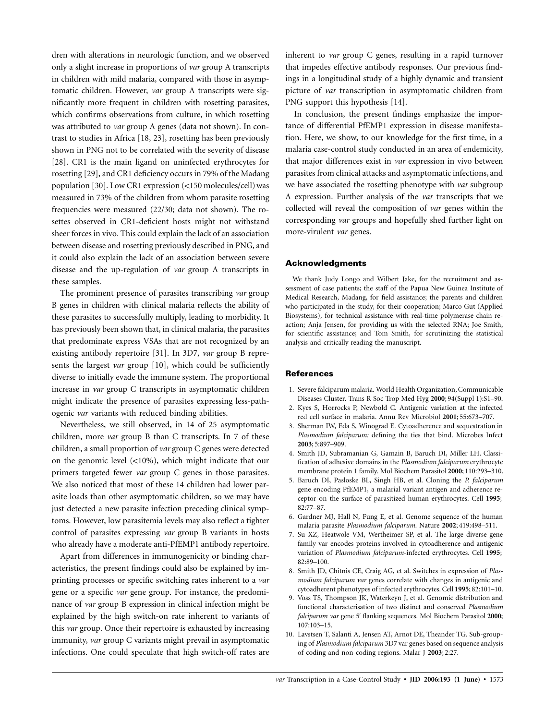dren with alterations in neurologic function, and we observed only a slight increase in proportions of *var* group A transcripts in children with mild malaria, compared with those in asymptomatic children. However, *var* group A transcripts were significantly more frequent in children with rosetting parasites, which confirms observations from culture, in which rosetting was attributed to *var* group A genes (data not shown). In contrast to studies in Africa [18, 23], rosetting has been previously shown in PNG not to be correlated with the severity of disease [28]. CR1 is the main ligand on uninfected erythrocytes for rosetting [29], and CR1 deficiency occurs in 79% of the Madang population [30]. Low CR1 expression (<150 molecules/cell) was measured in 73% of the children from whom parasite rosetting frequencies were measured (22/30; data not shown). The rosettes observed in CR1-deficient hosts might not withstand sheer forces in vivo. This could explain the lack of an association between disease and rosetting previously described in PNG, and it could also explain the lack of an association between severe disease and the up-regulation of *var* group A transcripts in these samples.

The prominent presence of parasites transcribing *var* group B genes in children with clinical malaria reflects the ability of these parasites to successfully multiply, leading to morbidity. It has previously been shown that, in clinical malaria, the parasites that predominate express VSAs that are not recognized by an existing antibody repertoire [31]. In 3D7, *var* group B represents the largest *var* group [10], which could be sufficiently diverse to initially evade the immune system. The proportional increase in *var* group C transcripts in asymptomatic children might indicate the presence of parasites expressing less-pathogenic *var* variants with reduced binding abilities.

Nevertheless, we still observed, in 14 of 25 asymptomatic children, more *var* group B than C transcripts. In 7 of these children, a small proportion of *var* group C genes were detected on the genomic level  $(<10\%)$ , which might indicate that our primers targeted fewer *var* group C genes in those parasites. We also noticed that most of these 14 children had lower parasite loads than other asymptomatic children, so we may have just detected a new parasite infection preceding clinical symptoms. However, low parasitemia levels may also reflect a tighter control of parasites expressing *var* group B variants in hosts who already have a moderate anti-PfEMP1 antibody repertoire.

Apart from differences in immunogenicity or binding characteristics, the present findings could also be explained by imprinting processes or specific switching rates inherent to a *var* gene or a specific *var* gene group. For instance, the predominance of *var* group B expression in clinical infection might be explained by the high switch-on rate inherent to variants of this *var* group. Once their repertoire is exhausted by increasing immunity, *var* group C variants might prevail in asymptomatic infections. One could speculate that high switch-off rates are

inherent to *var* group C genes, resulting in a rapid turnover that impedes effective antibody responses. Our previous findings in a longitudinal study of a highly dynamic and transient picture of *var* transcription in asymptomatic children from PNG support this hypothesis [14].

In conclusion, the present findings emphasize the importance of differential PfEMP1 expression in disease manifestation. Here, we show, to our knowledge for the first time, in a malaria case-control study conducted in an area of endemicity, that major differences exist in *var* expression in vivo between parasites from clinical attacks and asymptomatic infections, and we have associated the rosetting phenotype with *var* subgroup A expression. Further analysis of the *var* transcripts that we collected will reveal the composition of *var* genes within the corresponding *var* groups and hopefully shed further light on more-virulent *var* genes.

### **Acknowledgments**

We thank Judy Longo and Wilbert Jake, for the recruitment and assessment of case patients; the staff of the Papua New Guinea Institute of Medical Research, Madang, for field assistance; the parents and children who participated in the study, for their cooperation; Marco Gut (Applied Biosystems), for technical assistance with real-time polymerase chain reaction; Anja Jensen, for providing us with the selected RNA; Joe Smith, for scientific assistance; and Tom Smith, for scrutinizing the statistical analysis and critically reading the manuscript.

#### **References**

- 1. Severe falciparum malaria. World Health Organization, Communicable Diseases Cluster. Trans R Soc Trop Med Hyg **2000**; 94(Suppl 1):S1–90.
- 2. Kyes S, Horrocks P, Newbold C. Antigenic variation at the infected red cell surface in malaria. Annu Rev Microbiol **2001**; 55:673–707.
- 3. Sherman IW, Eda S, Winograd E. Cytoadherence and sequestration in *Plasmodium falciparum:* defining the ties that bind. Microbes Infect **2003**; 5:897–909.
- 4. Smith JD, Subramanian G, Gamain B, Baruch DI, Miller LH. Classification of adhesive domains in the *Plasmodium falciparum* erythrocyte membrane protein 1 family. Mol Biochem Parasitol **2000**; 110:293–310.
- 5. Baruch DI, Pasloske BL, Singh HB, et al. Cloning the *P. falciparum* gene encoding PfEMP1, a malarial variant antigen and adherence receptor on the surface of parasitized human erythrocytes. Cell **1995**; 82:77–87.
- 6. Gardner MJ, Hall N, Fung E, et al. Genome sequence of the human malaria parasite *Plasmodium falciparum.* Nature **2002**; 419:498–511.
- 7. Su XZ, Heatwole VM, Wertheimer SP, et al. The large diverse gene family var encodes proteins involved in cytoadherence and antigenic variation of *Plasmodium falciparum*-infected erythrocytes. Cell **1995**; 82:89–100.
- 8. Smith JD, Chitnis CE, Craig AG, et al. Switches in expression of *Plasmodium falciparum var* genes correlate with changes in antigenic and cytoadherent phenotypes of infected erythrocytes. Cell **1995**; 82:101–10.
- 9. Voss TS, Thompson JK, Waterkeyn J, et al. Genomic distribution and functional characterisation of two distinct and conserved *Plasmodium* falciparum var gene 5' flanking sequences. Mol Biochem Parasitol 2000; 107:103–15.
- 10. Lavstsen T, Salanti A, Jensen AT, Arnot DE, Theander TG. Sub-grouping of *Plasmodium falciparum* 3D7 var genes based on sequence analysis of coding and non-coding regions. Malar J **2003**; 2:27.